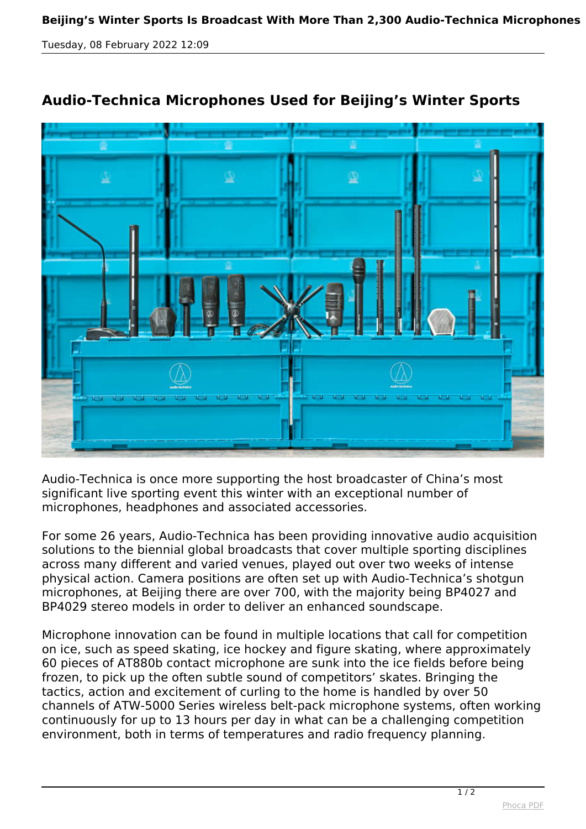*Tuesday, 08 February 2022 12:09*



## **Audio-Technica Microphones Used for Beijing's Winter Sports**

*Audio-Technica is once more supporting the host broadcaster of China's most significant live sporting event this winter with an exceptional number of microphones, headphones and associated accessories.*

*For some 26 years, Audio-Technica has been providing innovative audio acquisition solutions to the biennial global broadcasts that cover multiple sporting disciplines across many different and varied venues, played out over two weeks of intense physical action. Camera positions are often set up with Audio-Technica's shotgun microphones, at Beijing there are over 700, with the majority being BP4027 and BP4029 stereo models in order to deliver an enhanced soundscape.*

*Microphone innovation can be found in multiple locations that call for competition on ice, such as speed skating, ice hockey and figure skating, where approximately 60 pieces of AT880b contact microphone are sunk into the ice fields before being frozen, to pick up the often subtle sound of competitors' skates. Bringing the tactics, action and excitement of curling to the home is handled by over 50 channels of ATW-5000 Series wireless belt-pack microphone systems, often working continuously for up to 13 hours per day in what can be a challenging competition environment, both in terms of temperatures and radio frequency planning.*